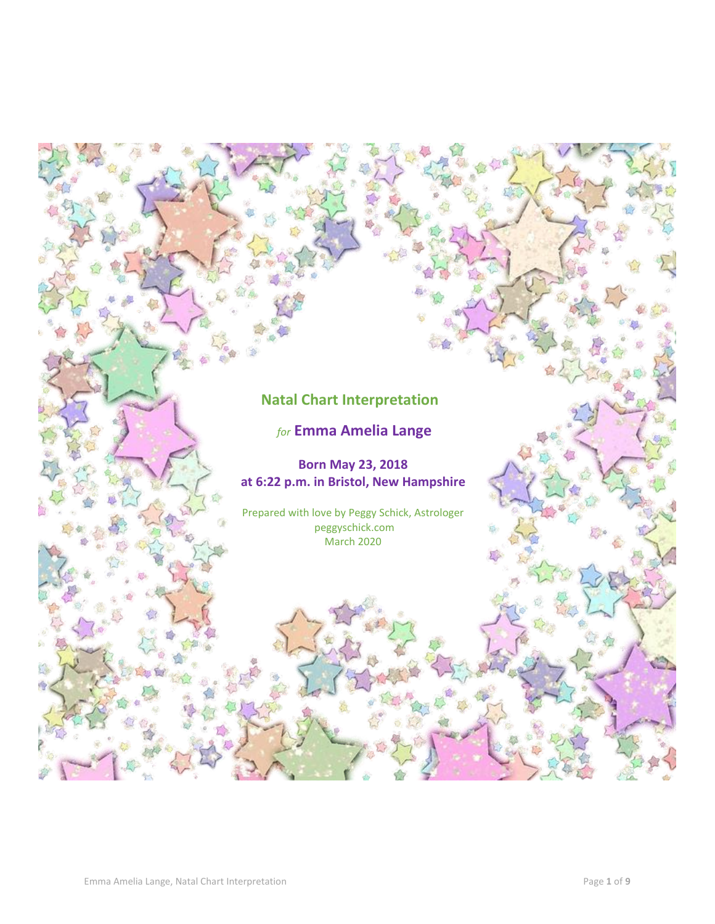# **Natal Chart Interpretation**

# *for* **Emma Amelia Lange**

# **Born May 23, 2018 at 6:22 p.m. in Bristol, New Hampshire**

Prepared with love by Peggy Schick, Astrologer peggyschick.com March 2020

IS.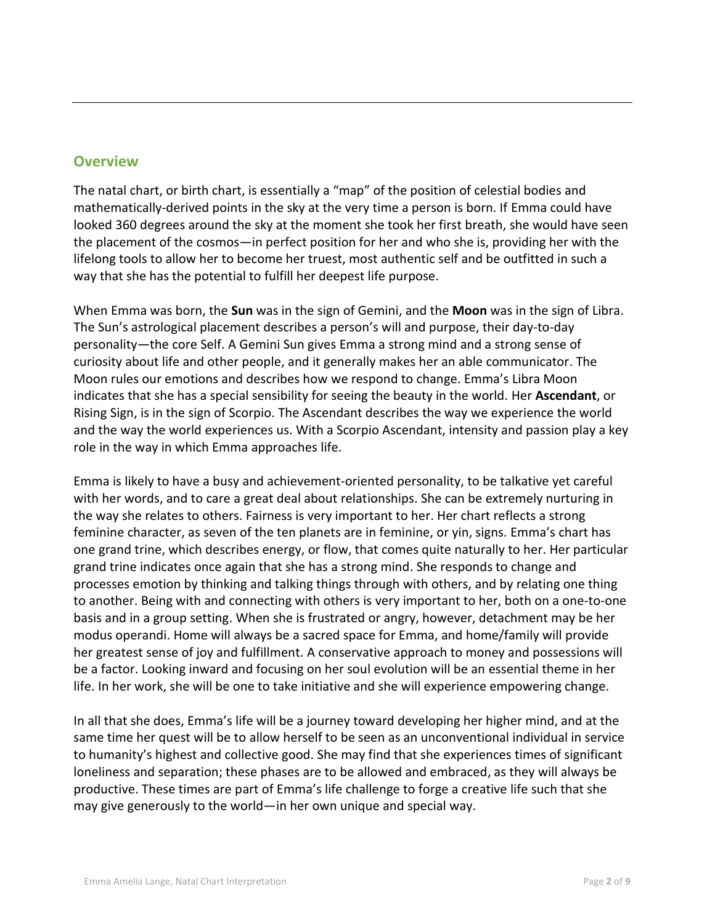# **Overview**

The natal chart, or birth chart, is essentially a "map" of the position of celestial bodies and mathematically-derived points in the sky at the very time a person is born. If Emma could have looked 360 degrees around the sky at the moment she took her first breath, she would have seen the placement of the cosmos—in perfect position for her and who she is, providing her with the lifelong tools to allow her to become her truest, most authentic self and be outfitted in such a way that she has the potential to fulfill her deepest life purpose.

When Emma was born, the **Sun** was in the sign of Gemini, and the **Moon** was in the sign of Libra. The Sun's astrological placement describes a person's will and purpose, their day-to-day personality—the core Self. A Gemini Sun gives Emma a strong mind and a strong sense of curiosity about life and other people, and it generally makes her an able communicator. The Moon rules our emotions and describes how we respond to change. Emma's Libra Moon indicates that she has a special sensibility for seeing the beauty in the world. Her **Ascendant**, or Rising Sign, is in the sign of Scorpio. The Ascendant describes the way we experience the world and the way the world experiences us. With a Scorpio Ascendant, intensity and passion play a key role in the way in which Emma approaches life.

Emma is likely to have a busy and achievement-oriented personality, to be talkative yet careful with her words, and to care a great deal about relationships. She can be extremely nurturing in the way she relates to others. Fairness is very important to her. Her chart reflects a strong feminine character, as seven of the ten planets are in feminine, or yin, signs. Emma's chart has one grand trine, which describes energy, or flow, that comes quite naturally to her. Her particular grand trine indicates once again that she has a strong mind. She responds to change and processes emotion by thinking and talking things through with others, and by relating one thing to another. Being with and connecting with others is very important to her, both on a one-to-one basis and in a group setting. When she is frustrated or angry, however, detachment may be her modus operandi. Home will always be a sacred space for Emma, and home/family will provide her greatest sense of joy and fulfillment. A conservative approach to money and possessions will be a factor. Looking inward and focusing on her soul evolution will be an essential theme in her life. In her work, she will be one to take initiative and she will experience empowering change.

In all that she does, Emma's life will be a journey toward developing her higher mind, and at the same time her quest will be to allow herself to be seen as an unconventional individual in service to humanity's highest and collective good. She may find that she experiences times of significant loneliness and separation; these phases are to be allowed and embraced, as they will always be productive. These times are part of Emma's life challenge to forge a creative life such that she may give generously to the world—in her own unique and special way.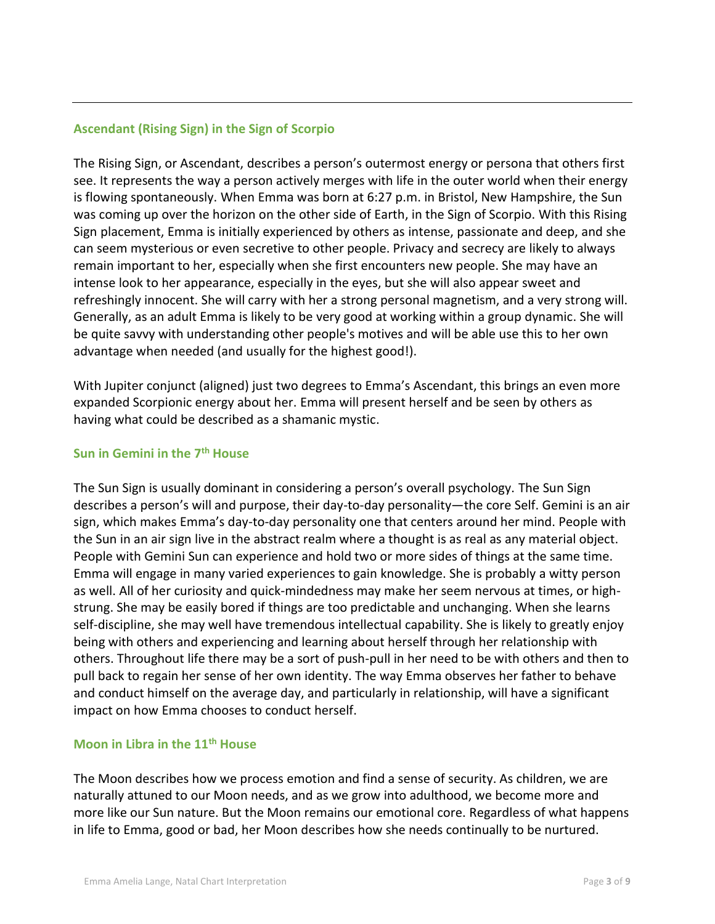### **Ascendant (Rising Sign) in the Sign of Scorpio**

The Rising Sign, or Ascendant, describes a person's outermost energy or persona that others first see. It represents the way a person actively merges with life in the outer world when their energy is flowing spontaneously. When Emma was born at 6:27 p.m. in Bristol, New Hampshire, the Sun was coming up over the horizon on the other side of Earth, in the Sign of Scorpio. With this Rising Sign placement, Emma is initially experienced by others as intense, passionate and deep, and she can seem mysterious or even secretive to other people. Privacy and secrecy are likely to always remain important to her, especially when she first encounters new people. She may have an intense look to her appearance, especially in the eyes, but she will also appear sweet and refreshingly innocent. She will carry with her a strong personal magnetism, and a very strong will. Generally, as an adult Emma is likely to be very good at working within a group dynamic. She will be quite savvy with understanding other people's motives and will be able use this to her own advantage when needed (and usually for the highest good!).

With Jupiter conjunct (aligned) just two degrees to Emma's Ascendant, this brings an even more expanded Scorpionic energy about her. Emma will present herself and be seen by others as having what could be described as a shamanic mystic.

#### **Sun in Gemini in the 7th House**

The Sun Sign is usually dominant in considering a person's overall psychology. The Sun Sign describes a person's will and purpose, their day-to-day personality—the core Self. Gemini is an air sign, which makes Emma's day-to-day personality one that centers around her mind. People with the Sun in an air sign live in the abstract realm where a thought is as real as any material object. People with Gemini Sun can experience and hold two or more sides of things at the same time. Emma will engage in many varied experiences to gain knowledge. She is probably a witty person as well. All of her curiosity and quick-mindedness may make her seem nervous at times, or highstrung. She may be easily bored if things are too predictable and unchanging. When she learns self-discipline, she may well have tremendous intellectual capability. She is likely to greatly enjoy being with others and experiencing and learning about herself through her relationship with others. Throughout life there may be a sort of push-pull in her need to be with others and then to pull back to regain her sense of her own identity. The way Emma observes her father to behave and conduct himself on the average day, and particularly in relationship, will have a significant impact on how Emma chooses to conduct herself.

#### **Moon in Libra in the 11th House**

The Moon describes how we process emotion and find a sense of security. As children, we are naturally attuned to our Moon needs, and as we grow into adulthood, we become more and more like our Sun nature. But the Moon remains our emotional core. Regardless of what happens in life to Emma, good or bad, her Moon describes how she needs continually to be nurtured.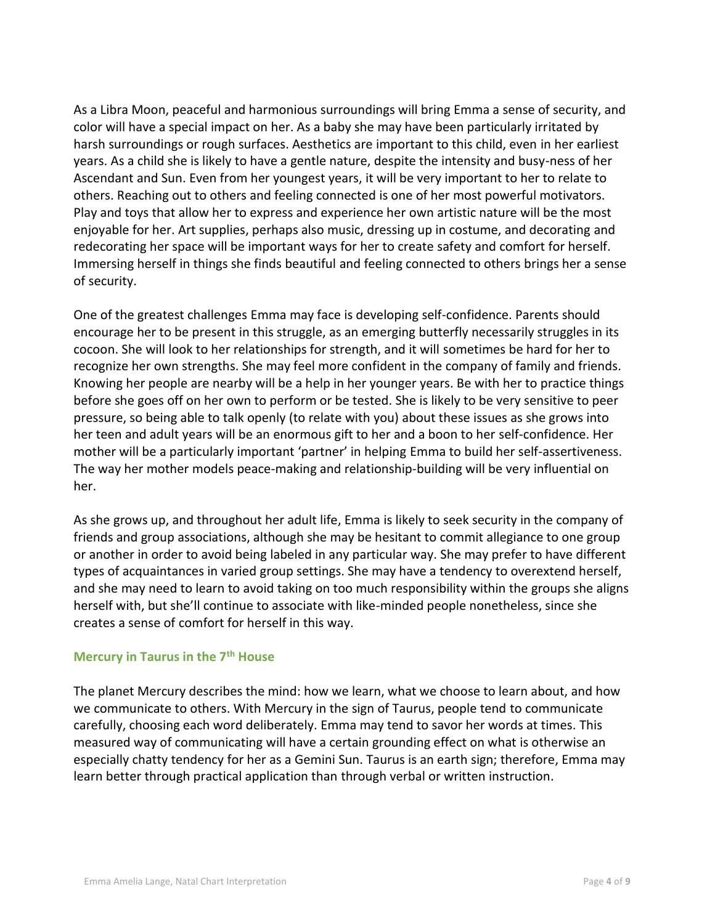As a Libra Moon, peaceful and harmonious surroundings will bring Emma a sense of security, and color will have a special impact on her. As a baby she may have been particularly irritated by harsh surroundings or rough surfaces. Aesthetics are important to this child, even in her earliest years. As a child she is likely to have a gentle nature, despite the intensity and busy-ness of her Ascendant and Sun. Even from her youngest years, it will be very important to her to relate to others. Reaching out to others and feeling connected is one of her most powerful motivators. Play and toys that allow her to express and experience her own artistic nature will be the most enjoyable for her. Art supplies, perhaps also music, dressing up in costume, and decorating and redecorating her space will be important ways for her to create safety and comfort for herself. Immersing herself in things she finds beautiful and feeling connected to others brings her a sense of security.

One of the greatest challenges Emma may face is developing self-confidence. Parents should encourage her to be present in this struggle, as an emerging butterfly necessarily struggles in its cocoon. She will look to her relationships for strength, and it will sometimes be hard for her to recognize her own strengths. She may feel more confident in the company of family and friends. Knowing her people are nearby will be a help in her younger years. Be with her to practice things before she goes off on her own to perform or be tested. She is likely to be very sensitive to peer pressure, so being able to talk openly (to relate with you) about these issues as she grows into her teen and adult years will be an enormous gift to her and a boon to her self-confidence. Her mother will be a particularly important 'partner' in helping Emma to build her self-assertiveness. The way her mother models peace-making and relationship-building will be very influential on her.

As she grows up, and throughout her adult life, Emma is likely to seek security in the company of friends and group associations, although she may be hesitant to commit allegiance to one group or another in order to avoid being labeled in any particular way. She may prefer to have different types of acquaintances in varied group settings. She may have a tendency to overextend herself, and she may need to learn to avoid taking on too much responsibility within the groups she aligns herself with, but she'll continue to associate with like-minded people nonetheless, since she creates a sense of comfort for herself in this way.

#### **Mercury in Taurus in the 7th House**

The planet Mercury describes the mind: how we learn, what we choose to learn about, and how we communicate to others. With Mercury in the sign of Taurus, people tend to communicate carefully, choosing each word deliberately. Emma may tend to savor her words at times. This measured way of communicating will have a certain grounding effect on what is otherwise an especially chatty tendency for her as a Gemini Sun. Taurus is an earth sign; therefore, Emma may learn better through practical application than through verbal or written instruction.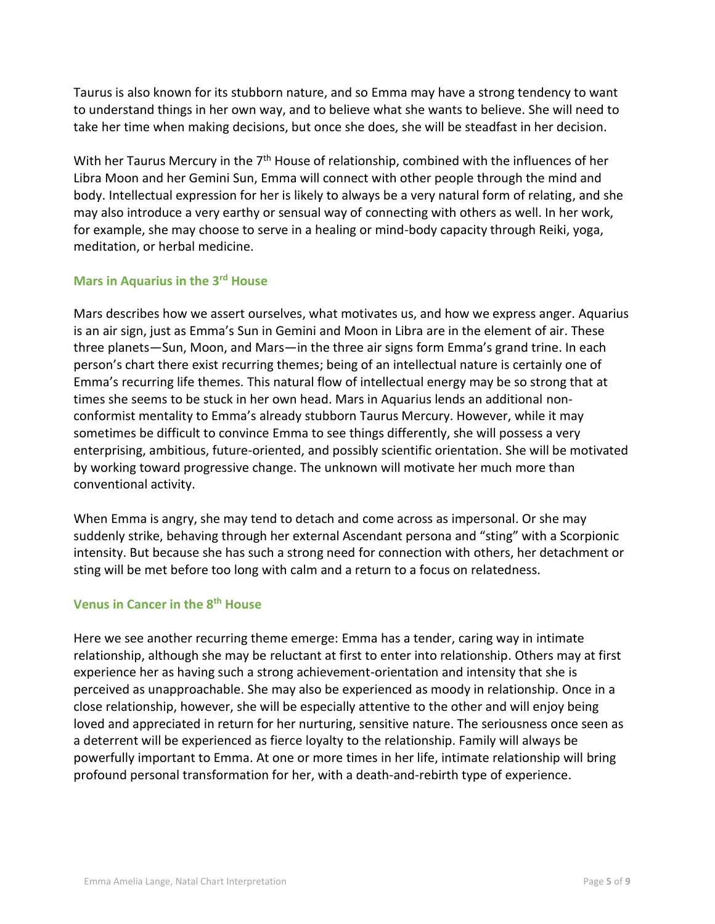Taurus is also known for its stubborn nature, and so Emma may have a strong tendency to want to understand things in her own way, and to believe what she wants to believe. She will need to take her time when making decisions, but once she does, she will be steadfast in her decision.

With her Taurus Mercury in the  $7<sup>th</sup>$  House of relationship, combined with the influences of her Libra Moon and her Gemini Sun, Emma will connect with other people through the mind and body. Intellectual expression for her is likely to always be a very natural form of relating, and she may also introduce a very earthy or sensual way of connecting with others as well. In her work, for example, she may choose to serve in a healing or mind-body capacity through Reiki, yoga, meditation, or herbal medicine.

#### **Mars in Aquarius in the 3rd House**

Mars describes how we assert ourselves, what motivates us, and how we express anger. Aquarius is an air sign, just as Emma's Sun in Gemini and Moon in Libra are in the element of air. These three planets—Sun, Moon, and Mars—in the three air signs form Emma's grand trine. In each person's chart there exist recurring themes; being of an intellectual nature is certainly one of Emma's recurring life themes. This natural flow of intellectual energy may be so strong that at times she seems to be stuck in her own head. Mars in Aquarius lends an additional nonconformist mentality to Emma's already stubborn Taurus Mercury. However, while it may sometimes be difficult to convince Emma to see things differently, she will possess a very enterprising, ambitious, future-oriented, and possibly scientific orientation. She will be motivated by working toward progressive change. The unknown will motivate her much more than conventional activity.

When Emma is angry, she may tend to detach and come across as impersonal. Or she may suddenly strike, behaving through her external Ascendant persona and "sting" with a Scorpionic intensity. But because she has such a strong need for connection with others, her detachment or sting will be met before too long with calm and a return to a focus on relatedness.

### **Venus in Cancer in the 8th House**

Here we see another recurring theme emerge: Emma has a tender, caring way in intimate relationship, although she may be reluctant at first to enter into relationship. Others may at first experience her as having such a strong achievement-orientation and intensity that she is perceived as unapproachable. She may also be experienced as moody in relationship. Once in a close relationship, however, she will be especially attentive to the other and will enjoy being loved and appreciated in return for her nurturing, sensitive nature. The seriousness once seen as a deterrent will be experienced as fierce loyalty to the relationship. Family will always be powerfully important to Emma. At one or more times in her life, intimate relationship will bring profound personal transformation for her, with a death-and-rebirth type of experience.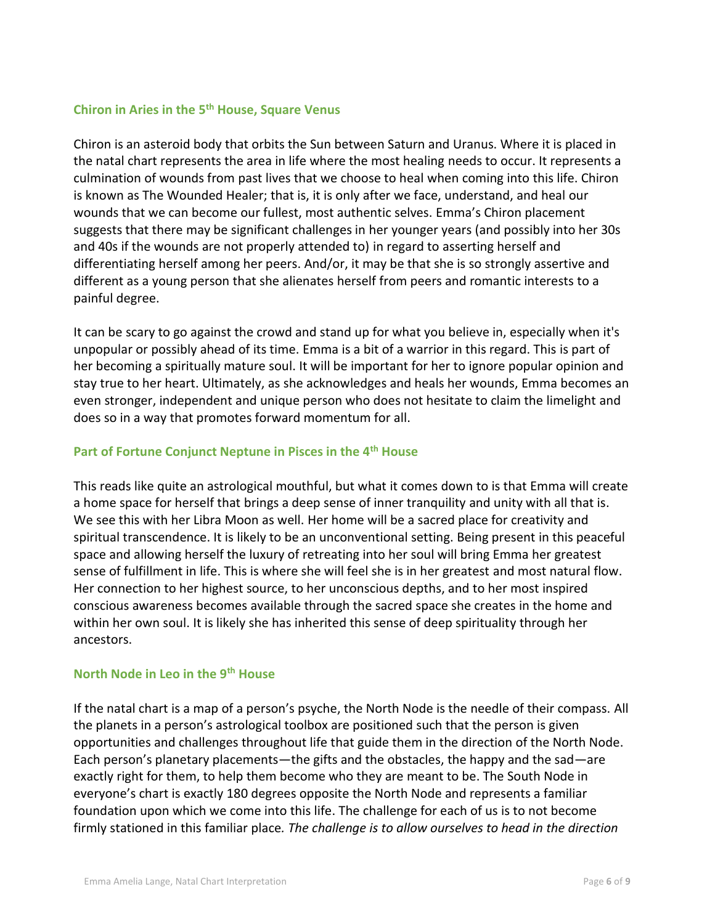## **Chiron in Aries in the 5th House, Square Venus**

Chiron is an asteroid body that orbits the Sun between Saturn and Uranus. Where it is placed in the natal chart represents the area in life where the most healing needs to occur. It represents a culmination of wounds from past lives that we choose to heal when coming into this life. Chiron is known as The Wounded Healer; that is, it is only after we face, understand, and heal our wounds that we can become our fullest, most authentic selves. Emma's Chiron placement suggests that there may be significant challenges in her younger years (and possibly into her 30s and 40s if the wounds are not properly attended to) in regard to asserting herself and differentiating herself among her peers. And/or, it may be that she is so strongly assertive and different as a young person that she alienates herself from peers and romantic interests to a painful degree.

It can be scary to go against the crowd and stand up for what you believe in, especially when it's unpopular or possibly ahead of its time. Emma is a bit of a warrior in this regard. This is part of her becoming a spiritually mature soul. It will be important for her to ignore popular opinion and stay true to her heart. Ultimately, as she acknowledges and heals her wounds, Emma becomes an even stronger, independent and unique person who does not hesitate to claim the limelight and does so in a way that promotes forward momentum for all.

### **Part of Fortune Conjunct Neptune in Pisces in the 4th House**

This reads like quite an astrological mouthful, but what it comes down to is that Emma will create a home space for herself that brings a deep sense of inner tranquility and unity with all that is. We see this with her Libra Moon as well. Her home will be a sacred place for creativity and spiritual transcendence. It is likely to be an unconventional setting. Being present in this peaceful space and allowing herself the luxury of retreating into her soul will bring Emma her greatest sense of fulfillment in life. This is where she will feel she is in her greatest and most natural flow. Her connection to her highest source, to her unconscious depths, and to her most inspired conscious awareness becomes available through the sacred space she creates in the home and within her own soul. It is likely she has inherited this sense of deep spirituality through her ancestors.

#### **North Node in Leo in the 9th House**

If the natal chart is a map of a person's psyche, the North Node is the needle of their compass. All the planets in a person's astrological toolbox are positioned such that the person is given opportunities and challenges throughout life that guide them in the direction of the North Node. Each person's planetary placements—the gifts and the obstacles, the happy and the sad—are exactly right for them, to help them become who they are meant to be. The South Node in everyone's chart is exactly 180 degrees opposite the North Node and represents a familiar foundation upon which we come into this life. The challenge for each of us is to not become firmly stationed in this familiar place*. The challenge is to allow ourselves to head in the direction*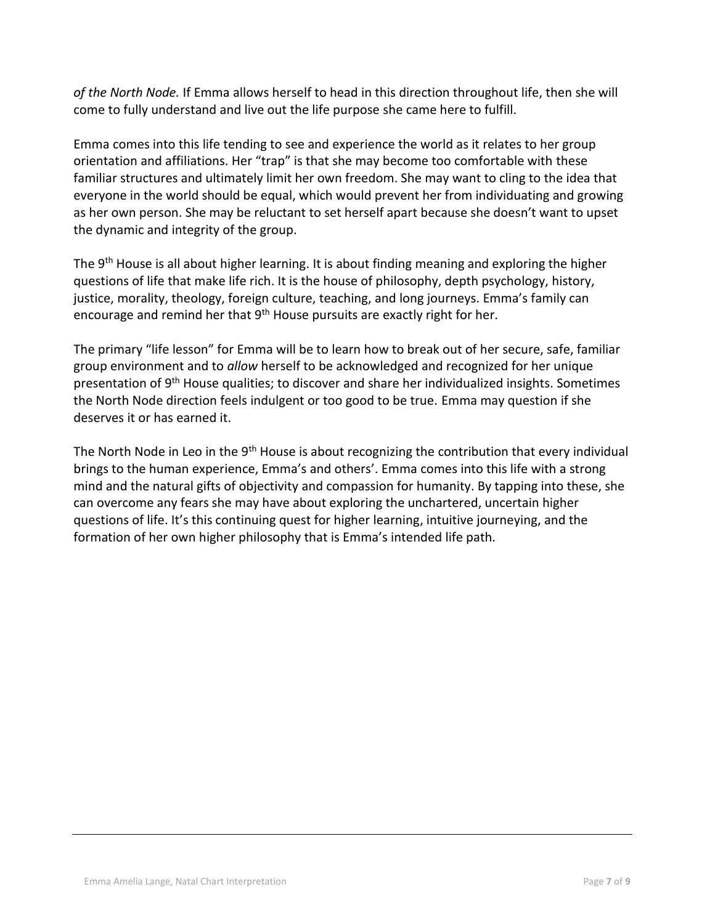*of the North Node.* If Emma allows herself to head in this direction throughout life, then she will come to fully understand and live out the life purpose she came here to fulfill.

Emma comes into this life tending to see and experience the world as it relates to her group orientation and affiliations. Her "trap" is that she may become too comfortable with these familiar structures and ultimately limit her own freedom. She may want to cling to the idea that everyone in the world should be equal, which would prevent her from individuating and growing as her own person. She may be reluctant to set herself apart because she doesn't want to upset the dynamic and integrity of the group.

The 9<sup>th</sup> House is all about higher learning. It is about finding meaning and exploring the higher questions of life that make life rich. It is the house of philosophy, depth psychology, history, justice, morality, theology, foreign culture, teaching, and long journeys. Emma's family can encourage and remind her that 9<sup>th</sup> House pursuits are exactly right for her.

The primary "life lesson" for Emma will be to learn how to break out of her secure, safe, familiar group environment and to *allow* herself to be acknowledged and recognized for her unique presentation of 9<sup>th</sup> House qualities; to discover and share her individualized insights. Sometimes the North Node direction feels indulgent or too good to be true. Emma may question if she deserves it or has earned it.

The North Node in Leo in the  $9<sup>th</sup>$  House is about recognizing the contribution that every individual brings to the human experience, Emma's and others'. Emma comes into this life with a strong mind and the natural gifts of objectivity and compassion for humanity. By tapping into these, she can overcome any fears she may have about exploring the unchartered, uncertain higher questions of life. It's this continuing quest for higher learning, intuitive journeying, and the formation of her own higher philosophy that is Emma's intended life path.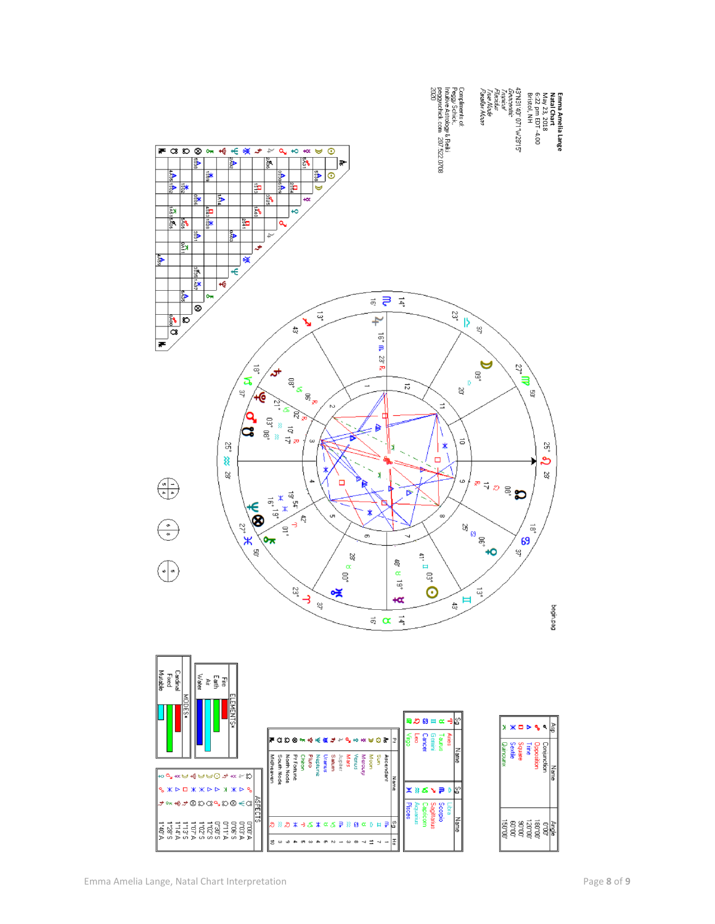